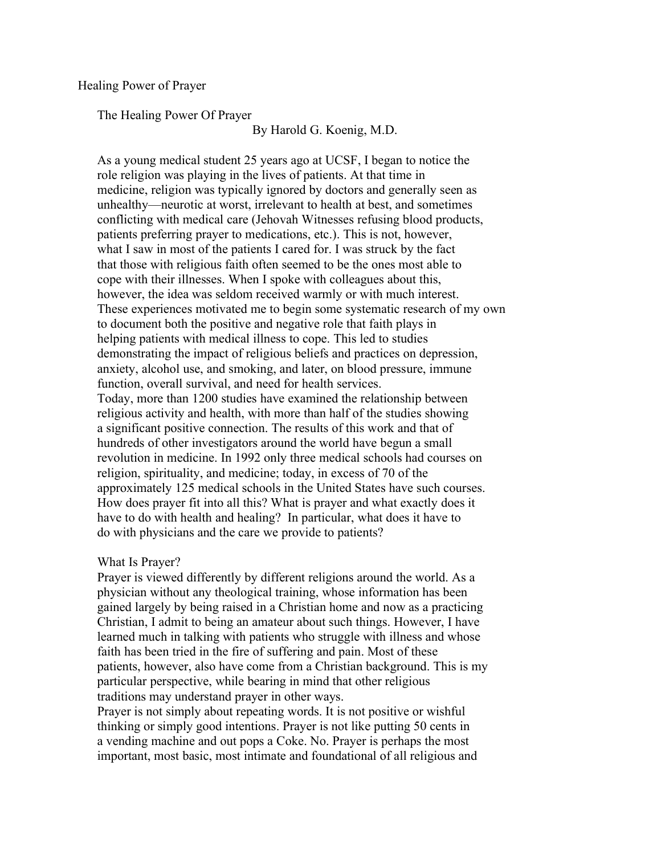## Healing Power of Prayer

The Healing Power Of Prayer

By Harold G. Koenig, M.D.

 As a young medical student 25 years ago at UCSF, I began to notice the role religion was playing in the lives of patients. At that time in medicine, religion was typically ignored by doctors and generally seen as unhealthy—neurotic at worst, irrelevant to health at best, and sometimes conflicting with medical care (Jehovah Witnesses refusing blood products, patients preferring prayer to medications, etc.). This is not, however, what I saw in most of the patients I cared for. I was struck by the fact that those with religious faith often seemed to be the ones most able to cope with their illnesses. When I spoke with colleagues about this, however, the idea was seldom received warmly or with much interest. These experiences motivated me to begin some systematic research of my own to document both the positive and negative role that faith plays in helping patients with medical illness to cope. This led to studies demonstrating the impact of religious beliefs and practices on depression, anxiety, alcohol use, and smoking, and later, on blood pressure, immune function, overall survival, and need for health services. Today, more than 1200 studies have examined the relationship between religious activity and health, with more than half of the studies showing a significant positive connection. The results of this work and that of hundreds of other investigators around the world have begun a small revolution in medicine. In 1992 only three medical schools had courses on religion, spirituality, and medicine; today, in excess of 70 of the approximately 125 medical schools in the United States have such courses. How does prayer fit into all this? What is prayer and what exactly does it have to do with health and healing? In particular, what does it have to do with physicians and the care we provide to patients?

## What Is Prayer?

 Prayer is viewed differently by different religions around the world. As a physician without any theological training, whose information has been gained largely by being raised in a Christian home and now as a practicing Christian, I admit to being an amateur about such things. However, I have learned much in talking with patients who struggle with illness and whose faith has been tried in the fire of suffering and pain. Most of these patients, however, also have come from a Christian background. This is my particular perspective, while bearing in mind that other religious traditions may understand prayer in other ways.

 Prayer is not simply about repeating words. It is not positive or wishful thinking or simply good intentions. Prayer is not like putting 50 cents in a vending machine and out pops a Coke. No. Prayer is perhaps the most important, most basic, most intimate and foundational of all religious and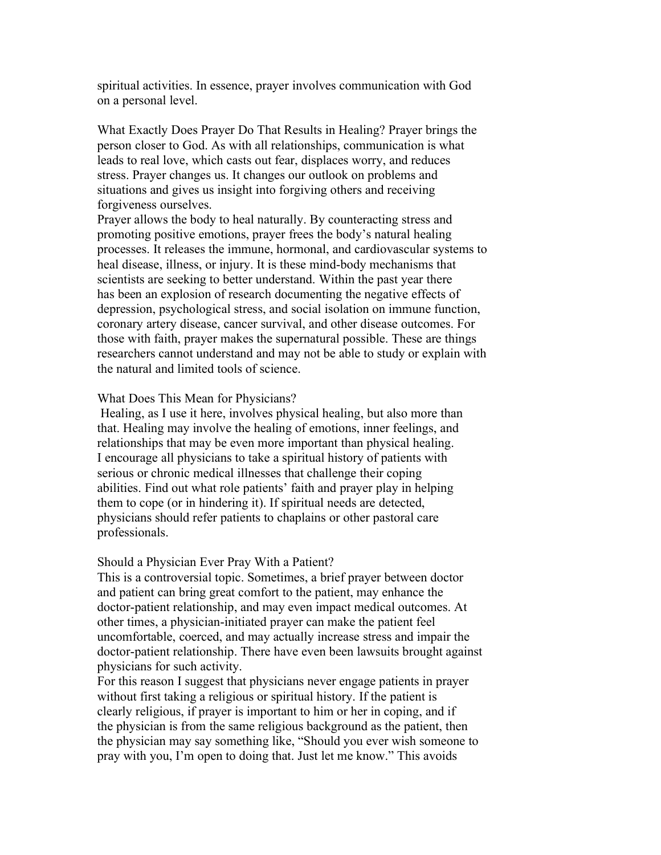spiritual activities. In essence, prayer involves communication with God on a personal level.

 What Exactly Does Prayer Do That Results in Healing? Prayer brings the person closer to God. As with all relationships, communication is what leads to real love, which casts out fear, displaces worry, and reduces stress. Prayer changes us. It changes our outlook on problems and situations and gives us insight into forgiving others and receiving forgiveness ourselves.

 Prayer allows the body to heal naturally. By counteracting stress and promoting positive emotions, prayer frees the body's natural healing processes. It releases the immune, hormonal, and cardiovascular systems to heal disease, illness, or injury. It is these mind-body mechanisms that scientists are seeking to better understand. Within the past year there has been an explosion of research documenting the negative effects of depression, psychological stress, and social isolation on immune function, coronary artery disease, cancer survival, and other disease outcomes. For those with faith, prayer makes the supernatural possible. These are things researchers cannot understand and may not be able to study or explain with the natural and limited tools of science.

## What Does This Mean for Physicians?

 Healing, as I use it here, involves physical healing, but also more than that. Healing may involve the healing of emotions, inner feelings, and relationships that may be even more important than physical healing. I encourage all physicians to take a spiritual history of patients with serious or chronic medical illnesses that challenge their coping abilities. Find out what role patients' faith and prayer play in helping them to cope (or in hindering it). If spiritual needs are detected, physicians should refer patients to chaplains or other pastoral care professionals.

## Should a Physician Ever Pray With a Patient?

 This is a controversial topic. Sometimes, a brief prayer between doctor and patient can bring great comfort to the patient, may enhance the doctor-patient relationship, and may even impact medical outcomes. At other times, a physician-initiated prayer can make the patient feel uncomfortable, coerced, and may actually increase stress and impair the doctor-patient relationship. There have even been lawsuits brought against physicians for such activity.

 For this reason I suggest that physicians never engage patients in prayer without first taking a religious or spiritual history. If the patient is clearly religious, if prayer is important to him or her in coping, and if the physician is from the same religious background as the patient, then the physician may say something like, "Should you ever wish someone to pray with you, I'm open to doing that. Just let me know." This avoids